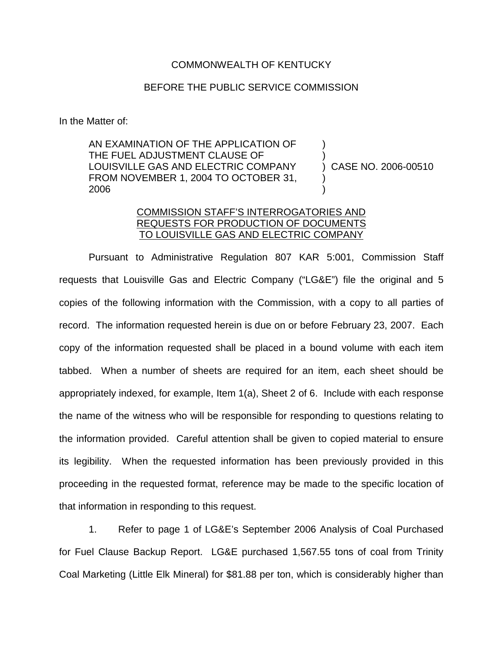## COMMONWEALTH OF KENTUCKY

## BEFORE THE PUBLIC SERVICE COMMISSION

In the Matter of:

AN EXAMINATION OF THE APPLICATION OF THE FUEL ADJUSTMENT CLAUSE OF LOUISVILLE GAS AND ELECTRIC COMPANY FROM NOVEMBER 1, 2004 TO OCTOBER 31, 2006 ) ) ) CASE NO. 2006-00510 ) )

## COMMISSION STAFF'S INTERROGATORIES AND REQUESTS FOR PRODUCTION OF DOCUMENTS TO LOUISVILLE GAS AND ELECTRIC COMPANY

Pursuant to Administrative Regulation 807 KAR 5:001, Commission Staff requests that Louisville Gas and Electric Company ("LG&E") file the original and 5 copies of the following information with the Commission, with a copy to all parties of record. The information requested herein is due on or before February 23, 2007. Each copy of the information requested shall be placed in a bound volume with each item tabbed. When a number of sheets are required for an item, each sheet should be appropriately indexed, for example, Item 1(a), Sheet 2 of 6. Include with each response the name of the witness who will be responsible for responding to questions relating to the information provided. Careful attention shall be given to copied material to ensure its legibility. When the requested information has been previously provided in this proceeding in the requested format, reference may be made to the specific location of that information in responding to this request.

1. Refer to page 1 of LG&E's September 2006 Analysis of Coal Purchased for Fuel Clause Backup Report. LG&E purchased 1,567.55 tons of coal from Trinity Coal Marketing (Little Elk Mineral) for \$81.88 per ton, which is considerably higher than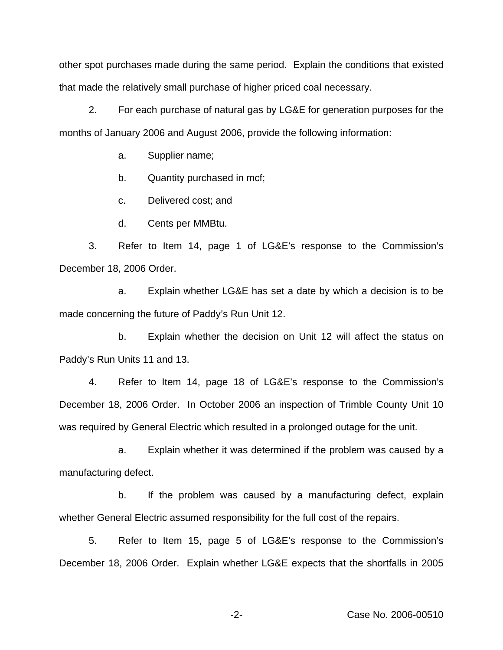other spot purchases made during the same period. Explain the conditions that existed that made the relatively small purchase of higher priced coal necessary.

2. For each purchase of natural gas by LG&E for generation purposes for the months of January 2006 and August 2006, provide the following information:

a. Supplier name;

b. Quantity purchased in mcf;

c. Delivered cost; and

d. Cents per MMBtu.

3. Refer to Item 14, page 1 of LG&E's response to the Commission's December 18, 2006 Order.

a. Explain whether LG&E has set a date by which a decision is to be made concerning the future of Paddy's Run Unit 12.

b. Explain whether the decision on Unit 12 will affect the status on Paddy's Run Units 11 and 13.

4. Refer to Item 14, page 18 of LG&E's response to the Commission's December 18, 2006 Order. In October 2006 an inspection of Trimble County Unit 10 was required by General Electric which resulted in a prolonged outage for the unit.

a. Explain whether it was determined if the problem was caused by a manufacturing defect.

b. If the problem was caused by a manufacturing defect, explain whether General Electric assumed responsibility for the full cost of the repairs.

5. Refer to Item 15, page 5 of LG&E's response to the Commission's December 18, 2006 Order. Explain whether LG&E expects that the shortfalls in 2005